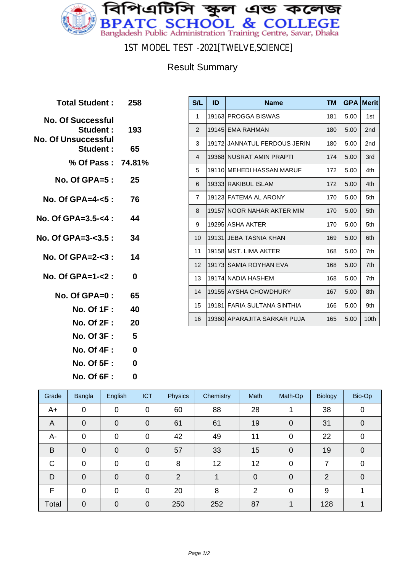

1ST MODEL TEST -2021[TWELVE,SCIENCE]

## Result Summary

| Total Student: 258                                                  |     |
|---------------------------------------------------------------------|-----|
| <b>No. Of Successful</b><br>Student :<br><b>No. Of Unsuccessful</b> | 193 |
| Student :                                                           | 65  |
| % Of Pass: 74.81%                                                   |     |
| No. Of GPA= $5: 25$                                                 |     |
| No. Of GPA=4- $5:$ 76                                               |     |
| No. Of GPA=3.5-<4 :                                                 | 44  |
| No. Of GPA=3-<3.5 : 34                                              |     |
| No. Of GPA=2- $3:14$                                                |     |
| No. Of GPA=1-<2:                                                    | 0   |
| No. Of GPA=0 :                                                      | 65  |
| No. Of 1F : 40                                                      |     |
| No. Of 2F : 20                                                      |     |
| <b>No. Of 3F :</b>                                                  | 5   |
| No. Of 4F : <b>No</b>                                               | 0   |
| No. Of 5F : <b>M</b>                                                | 0   |

**No. Of 6F : 0**

| S/L            | ID | <b>Name</b>                  | <b>TM</b> | <b>GPA</b> | Merit           |
|----------------|----|------------------------------|-----------|------------|-----------------|
| 1              |    | 19163 PROGGA BISWAS          | 181       | 5.00       | 1st             |
| 2              |    | 19145 EMA RAHMAN             | 180       | 5.00       | 2 <sub>nd</sub> |
| 3              |    | 19172 JANNATUL FERDOUS JERIN | 180       | 5.00       | 2nd             |
| $\overline{4}$ |    | 19368 NUSRAT AMIN PRAPTI     | 174       | 5.00       | 3rd             |
| 5              |    | 19110 MEHEDI HASSAN MARUF    | 172       | 5.00       | 4th             |
| 6              |    | 19333 RAKIBUL ISLAM          | 172       | 5.00       | 4th             |
| $\overline{7}$ |    | 19123 FATEMA AL ARONY        | 170       | 5.00       | 5th             |
| 8              |    | 19157 NOOR NAHAR AKTER MIM   | 170       | 5.00       | 5th             |
| 9              |    | 19295 ASHA AKTER             | 170       | 5.00       | 5th             |
| 10             |    | 19131  JEBA TASNIA KHAN      | 169       | 5.00       | 6th             |
| 11             |    | 19158 MST. LIMA AKTER        | 168       | 5.00       | 7th             |
| 12             |    | 19173 SAMIA ROYHAN EVA       | 168       | 5.00       | 7th             |
| 13             |    | 19174 NADIA HASHEM           | 168       | 5.00       | 7th             |
| 14             |    | 19155 AYSHA CHOWDHURY        | 167       | 5.00       | 8th             |
| 15             |    | 19181 FARIA SULTANA SINTHIA  | 166       | 5.00       | 9th             |
| 16             |    | 19360 APARAJITA SARKAR PUJA  | 165       | 5.00       | 10th            |

| Grade          | Bangla         | English        | <b>ICT</b>     | <b>Physics</b> | Chemistry | Math           | Math-Op        | <b>Biology</b> | Bio-Op         |
|----------------|----------------|----------------|----------------|----------------|-----------|----------------|----------------|----------------|----------------|
| A+             | $\mathbf 0$    | $\mathbf 0$    | $\mathbf 0$    | 60             | 88        | 28             |                | 38             | 0              |
| $\overline{A}$ | $\mathbf 0$    | $\mathbf 0$    | $\overline{0}$ | 61             | 61        | 19             | $\mathbf 0$    | 31             | 0              |
| A-             | $\mathbf 0$    | 0              | $\mathbf 0$    | 42             | 49        | 11             | 0              | 22             | $\overline{0}$ |
| B              | $\mathbf 0$    | 0              | $\overline{0}$ | 57             | 33        | 15             | $\Omega$       | 19             | $\overline{0}$ |
| $\mathsf{C}$   | 0              | 0              | $\overline{0}$ | 8              | 12        | 12             | 0              | 7              | $\overline{0}$ |
| D              | $\mathbf 0$    | $\overline{0}$ | $\overline{0}$ | 2              |           | $\mathbf 0$    | $\overline{0}$ | $\overline{2}$ | $\overline{0}$ |
| F              | $\overline{0}$ | 0              | $\mathbf 0$    | 20             | 8         | $\overline{2}$ | 0              | 9              |                |
| Total          | $\overline{0}$ | 0              | $\overline{0}$ | 250            | 252       | 87             |                | 128            |                |